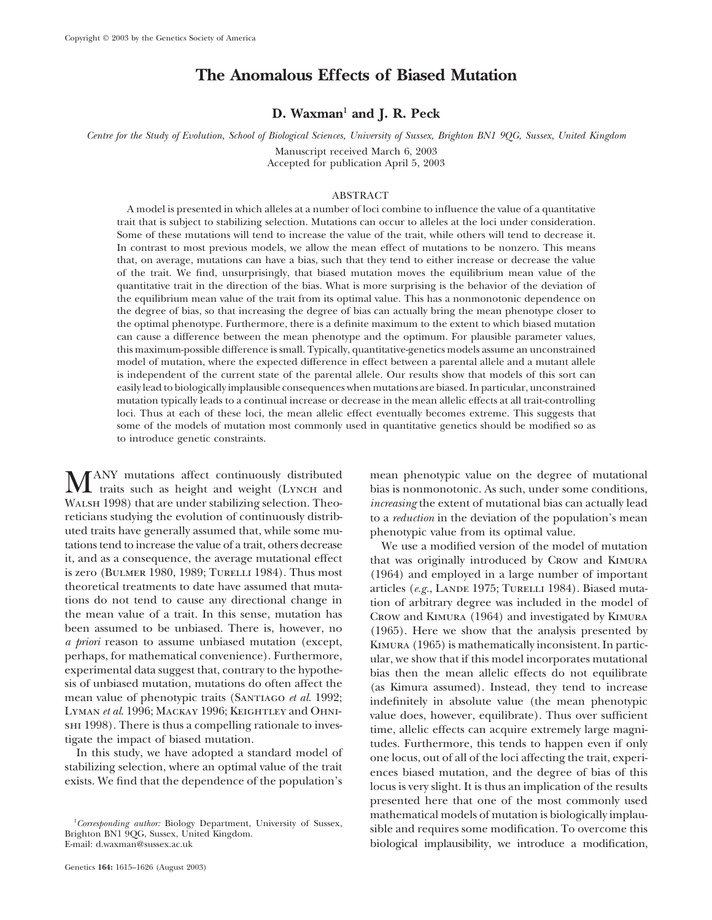# **The Anomalous Effects of Biased Mutation**

## **D. Waxman1 and J. R. Peck**

*Centre for the Study of Evolution, School of Biological Sciences, University of Sussex, Brighton BN1 9QG, Sussex, United Kingdom*

Manuscript received March 6, 2003 Accepted for publication April 5, 2003

### ABSTRACT

A model is presented in which alleles at a number of loci combine to influence the value of a quantitative trait that is subject to stabilizing selection. Mutations can occur to alleles at the loci under consideration. Some of these mutations will tend to increase the value of the trait, while others will tend to decrease it. In contrast to most previous models, we allow the mean effect of mutations to be nonzero. This means that, on average, mutations can have a bias, such that they tend to either increase or decrease the value of the trait. We find, unsurprisingly, that biased mutation moves the equilibrium mean value of the quantitative trait in the direction of the bias. What is more surprising is the behavior of the deviation of the equilibrium mean value of the trait from its optimal value. This has a nonmonotonic dependence on the degree of bias, so that increasing the degree of bias can actually bring the mean phenotype closer to the optimal phenotype. Furthermore, there is a definite maximum to the extent to which biased mutation can cause a difference between the mean phenotype and the optimum. For plausible parameter values, this maximum-possible difference is small. Typically, quantitative-genetics models assume an unconstrained model of mutation, where the expected difference in effect between a parental allele and a mutant allele is independent of the current state of the parental allele. Our results show that models of this sort can easily lead to biologically implausible consequences when mutations are biased. In particular, unconstrained mutation typically leads to a continual increase or decrease in the mean allelic effects at all trait-controlling loci. Thus at each of these loci, the mean allelic effect eventually becomes extreme. This suggests that some of the models of mutation most commonly used in quantitative genetics should be modified so as to introduce genetic constraints.

MANY mutations affect continuously distributed mean phenotypic value on the degree of mutational<br>traits such as height and weight (Lynch and bias is nonmonotonic. As such, under some conditions,<br>Material bias is non-visual Walsh 1998) that are under stabilizing selection. Theo- *increasing* the extent of mutational bias can actually lead reticians studying the evolution of continuously distrib- to a *reduction* in the deviation of the population's mean uted traits have generally assumed that, while some mu- phenotypic value from its optimal value. tations tend to increase the value of a trait, others decrease We use a modified version of the model of mutation<br>it, and as a consequence, the average mutational effect that was originally introduced by Crow and KIMURA perhaps, for mathematical convenience). Furthermore,<br>experimental data suggest that, contrary to the hypothe-<br>sis of unbiased mutation, mutations do often affect the<br>mean value of phenotypic traits (SANTIAGO *et al.* 1992;

that was originally introduced by Crow and KIMURA is zero (BULMER 1980, 1989; TURELLI 1984). Thus most (1964) and employed in a large number of important theoretical treatments to date have assumed that muta-<br>articles (e.g., LANDE 1975: TURELLI 1984). Biased mutatheoretical treatments to date have assumed that muta-<br>tions do not tend to cause any directional change in the model of arbitrary degree was included in the model of tions do not tend to cause any directional change in tion of arbitrary degree was included in the model of the mean value of a trait. In this sense, mutation has CROW and KIMURA (1964) and investigated by KIMURA the mean value of a trait. In this sense, mutation has Crow and KIMURA (1964) and investigated by KIMURA been assumed to be unbiased. There is, however, no (1965). Here we show that the analysis presented by been assumed to be unbiased. There is, however, no (1965). Here we show that the analysis presented by a priori reason to assume unbiased mutation (except,  $K_{\text{IMIIRA}}$  (1965) is mathematically inconsistent. In partic*a priori* reason to assume unbiased mutation (except, KIMURA (1965) is mathematically inconsistent. In partic-<br>perhaps, for mathematical convenience). Furthermore, ular, we show that if this model incorporates mutational SHI 1998). There is thus a compelling rationale to investigate the impact of biased mutation.<br>
In this study, we have adopted a standard model of stabilizing selection, where an optimal value of the trait<br>
exists. We find presented here that one of the most commonly used <sup>1</sup>Corresponding author: Biology Department, University of Sussex,<br>
although the part of mutation is biologically implau-*Corresponding author:* Biology Department, University of Sussex, sible and requires some modification. To overcome this Brighton BN1 9QG, Sussex, United Kingdom. E-mail: d.waxman@sussex.ac.uk biological implausibility, we introduce a modification,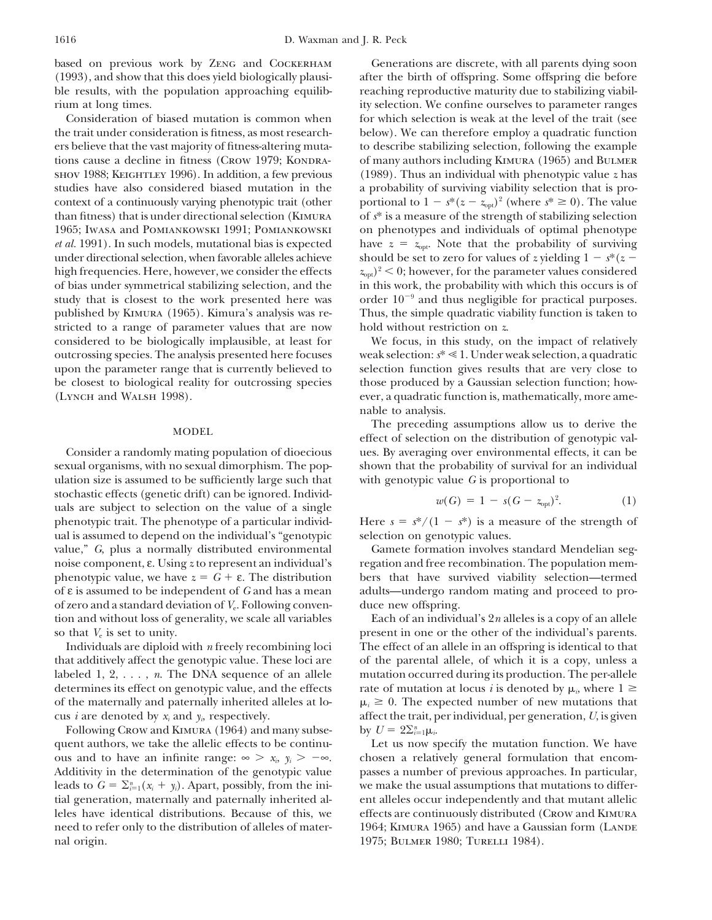based on previous work by Zeng and Cockerham Generations are discrete, with all parents dying soon

the trait under consideration is fitness, as most research- below). We can therefore employ a quadratic function ers believe that the vast majority of fitness-altering muta- to describe stabilizing selection, following the example tions cause a decline in fitness (CROW 1979; KONDRA- of many authors including KIMURA (1965) and BULMER shov 1988; Keightley 1996). In addition, a few previous (1989). Thus an individual with phenotypic value *z* has studies have also considered biased mutation in the a probability of surviving viability selection that is procontext of a continuously varying phenotypic trait (other than fitness) that is under directional selection (KIMURA 1965; Iwasa and Pomiankowski 1991; Pomiankowski on phenotypes and individuals of optimal phenotype *et al.* 1991). In such models, mutational bias is expected have  $z = z_{\text{opt}}$ . Note that the probability of surviving under directional selection, when favorable alleles achieve should be set to zero for values of *z* yielding  $1 - s^*(z - z)$ high frequencies. Here, however, we consider the effects  $z_{\text{on}}^2$   $\geq$  0; however, for the parameter values considered of bias under symmetrical stabilizing selection, and the in this work, the probability with which this occurs is of study that is closest to the work presented here was and thus negligible for practical purposes. published by Kimura (1965). Kimura's analysis was re- Thus, the simple quadratic viability function is taken to stricted to a range of parameter values that are now hold without restriction on *z*. considered to be biologically implausible, at least for We focus, in this study, on the impact of relatively outcrossing species. The analysis presented here focuses weak selection: *s*\* 1. Under weak selection, a quadratic upon the parameter range that is currently believed to selection function gives results that are very close to be closest to biological reality for outcrossing species those produced by a Gaussian selection function; how-

ulation size is assumed to be sufficiently large such that with genotypic value *G* is proportional to stochastic effects (genetic drift) can be ignored. Individuals are subject to selection on the value of a single ual is assumed to depend on the individual's "genotypic selection on genotypic values. phenotypic value, we have  $z = G + \varepsilon$ . The distribution bers that have survived viability selection—termed of ε is assumed to be independent of *G* and has a mean adults—undergo random mating and proceed to proof zero and a standard deviation of *V*e. Following conven- duce new offspring. so that  $V_e$  is set to unity. present in one or the other of the individual's parents.

determines its effect on genotypic value, and the effects of the maternally and paternally inherited alleles at lo- *<sup>i</sup>* -

Following Crow and KIMURA (1964) and many subsenal origin. 1975; BULMER 1980; TURELLI 1984).

(1993), and show that this does yield biologically plausi- after the birth of offspring. Some offspring die before ble results, with the population approaching equilib- reaching reproductive maturity due to stabilizing viabilrium at long times. ity selection. We confine ourselves to parameter ranges Consideration of biased mutation is common when for which selection is weak at the level of the trait (see portional to  $1 - s^*(z - z_{opt})^2$  (where  $s^* \ge 0$ ). The value of  $s^*$  is a measure of the strength of stabilizing selection

(Lynch and Walsh 1998). ever, a quadratic function is, mathematically, more amenable to analysis.

The preceding assumptions allow us to derive the MODEL effect of selection on the distribution of genotypic val-Consider a randomly mating population of dioecious ues. By averaging over environmental effects, it can be sexual organisms, with no sexual dimorphism. The pop- shown that the probability of survival for an individual

$$
w(G) = 1 - s(G - z_{\text{opt}})^2.
$$
 (1)

phenotypic trait. The phenotype of a particular individ- Here  $s = s^*/(1 - s^*)$  is a measure of the strength of

value," *G*, plus a normally distributed environmental Gamete formation involves standard Mendelian segnoise component, ε. Using *z* to represent an individual's regation and free recombination. The population mem-

tion and without loss of generality, we scale all variables Each of an individual's 2*n* alleles is a copy of an allele Individuals are diploid with *n* freely recombining loci The effect of an allele in an offspring is identical to that that additively affect the genotypic value. These loci are of the parental allele, of which it is a copy, unless a labeled 1, 2, . . . , *n*. The DNA sequence of an allele mutation occurred during its production. The per-allele rate of mutation at locus *i* is denoted by  $\mu_i$ , where  $1 \geq$  $\mu_i \geq 0$ . The expected number of new mutations that cus *i* are denoted by *xi* and *yi*, respectively. affect the trait, per individual, per generation, *U*, is given by  $U = 2\sum_{i=1}^{n} \mu_i$ .

quent authors, we take the allelic effects to be continu- Let us now specify the mutation function. We have ous and to have an infinite range:  $\infty > x_i$ ,  $y_i > -\infty$ . chosen a relatively general formulation that encom-Additivity in the determination of the genotypic value passes a number of previous approaches. In particular, leads to  $G = \sum_{i=1}^{n} (x_i + y_i)$ . Apart, possibly, from the ini- we make the usual assumptions that mutations to differtial generation, maternally and paternally inherited al- ent alleles occur independently and that mutant allelic leles have identical distributions. Because of this, we effects are continuously distributed (Crow and Kimura need to refer only to the distribution of alleles of mater- 1964; KIMURA 1965) and have a Gaussian form (LANDE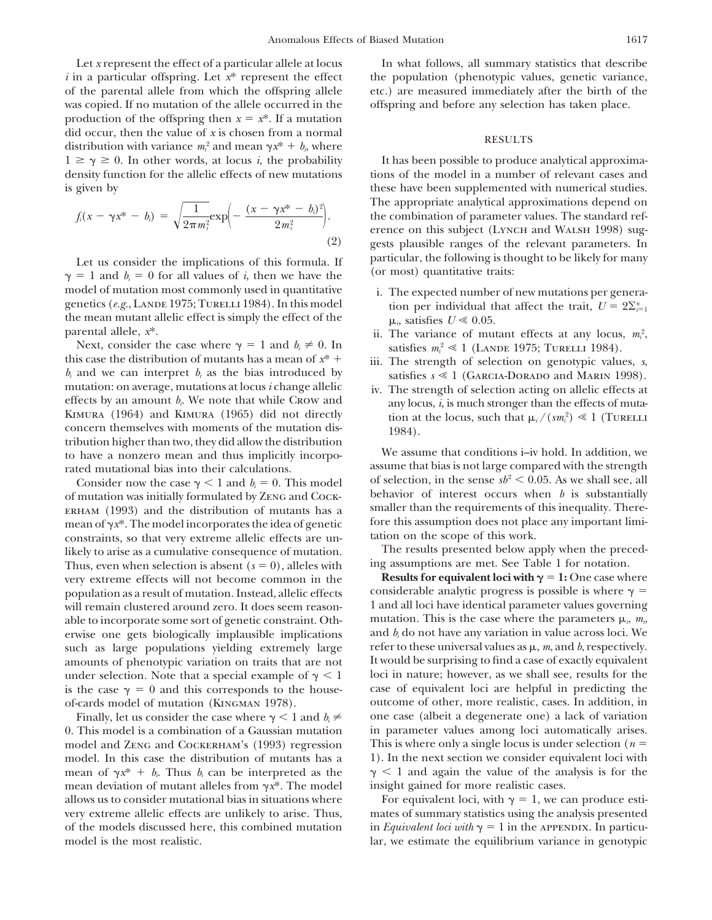Let *x* represent the effect of a particular allele at locus In what follows, all summary statistics that describe *i* in a particular offspring. Let  $x^*$  represent the effect the population (phenotypic values, genetic variance, of the parental allele from which the offspring allele etc.) are measured immediately after the birth of the was copied. If no mutation of the allele occurred in the offspring and before any selection has taken place. production of the offspring then  $x = x^*$ . If a mutation did occur, then the value of *x* is chosen from a normal RESULTS<br>distribution with variance  $m_i^2$  and mean  $\gamma x^* + b_i$ , where  $1 \geq \gamma \geq$ density function for the allelic effects of new mutations tions of the model in a number of relevant cases and is given by these have been supplemented with numerical studies.

$$
f_i(x - \gamma x^* - b_i) = \sqrt{\frac{1}{2\pi m_i^2}} \exp\left(-\frac{(x - \gamma x^* - b_i)^2}{2m_i^2}\right).
$$
\n(2)

Let us consider the implications of this formula. If particular, the following is thought to be likely for many  $\gamma = 1$  and  $b_i = 0$  for all values of *i*, then we have the (or most) quantitative traits: model of mutation most commonly used in quantitative i. The expected number of new mutations per genera-<br>genetics (*e.g.*, LANDE 1975; TURELLI 1984). In this model tion per individual that affect the trait  $U = 9\Sigma_{1}$ . genetics (*e.g.*, LANDE 1975; TURELLI 1984). In this model tion per individual that affect the trait,  $U = 2\Sigma_{i=1}^n$ the mean mutant allelic effect is simply the effect of the  $\mu_i$ , satisfies  $U \le 0.05$ .<br>parental allele,  $x^*$ . ii The variance of mut

this case the distribution of mutants has a mean of  $x^*$  iii. The strength of selection on genotypic values, s,  $b_i$  and we can interpret  $b_i$  as the bias introduced by satisfies  $s \ll 1$  (GARCIA-DORADO and MARIN 1998). m mutation: on average, mutations at locus *i* change allelic iv. The strength of selection acting on allelic effects at effects by an amount  $b_i$ . We note that while CROW and  $\frac{100}{2}$  iv. The strength of selection actin concern themselves with moments of the mutation dis-<br>tribution higher than two, they did allow the distribution and  $(1984)$ . to have a nonzero mean and thus implicitly incorpo- We assume that conditions i–iv hold. In addition, we

of mutation was initially formulated by ZENG and COCK-<br>ERHAM (1993) and the distribution of mutants has a smaller than the requirements of this inequality. There-ERHAM (1993) and the distribution of mutants has a smaller than the requirements of this inequality. There-<br>mean of  $\chi^*$  The model incorporates the idea of genetic fore this assumption does not place any important limimean of  $\gamma x^*$ . The model incorporates the idea of genetic fore this assumption does not place constraints so that very extreme allelic effects are unconstraints, so that very extreme allelic effects are un-<br>likely to arise as a cumulative consequence of mutation. The results presented below apply when the precedlikely to arise as a cumulative consequence of mutation. The results presented below apply when the preced-<br>Thus, even when selection is absent  $(s = 0)$ , alleles with ing assumptions are met. See Table 1 for notation. Thus, even when selection is absent ( $s = 0$ ), alleles with and assumptions are met. See Table 1 for notation.<br>*Servers extreme* effects will not become common in the **Results for equivalent loci with**  $\gamma = 1$ : One case wh very extreme effects will not become common in the **Results for equivalent loci with**  $\gamma = 1$ : One case where population as a result of mutation. Instead, allelic effects considerable analytic progress is possible is wher population as a result of mutation. Instead, allelic effects will remain clustered around zero. It does seem reason-<br>able to incorporate some sort of genetic constraint. Oth-<br>mutation. This is the case where the parameters  $\mu_i$ ,  $m_i$ able to incorporate some sort of genetic constraint. Oth-<br>able to incorporate some sort of genetic constraint. Oth-<br>and  $b_i$  do not have any variation in value across loci. We<br>we say that the solution of the solution of t erwise one gets biologically implausible implications such as large populations yielding extremely large refer to these universal values as  $\mu$ ,  $m$ , and  $b$ , respectively. amounts of phenotypic variation on traits that are not It would be surprising to find a case of exactly equivalent under selection. Note that a special example of  $\gamma < 1$  loci in nature; however, as we shall see, results for the is the case  $\gamma = 0$  and this corresponds to the house- case of equivalent loci are helpful in predicting the of-cards model of mutation (Kingman 1978). outcome of other, more realistic, cases. In addition, in

0. This model is a combination of a Gaussian mutation in parameter values among loci automatically arises. model and ZENG and COCKERHAM's (1993) regression This is where only a single locus is under selection ( $n =$ model. In this case the distribution of mutants has a 1). In the next section we consider equivalent loci with mean of  $\gamma x^* + b_i$ . Thus  $b_i$  can be interpreted as the  $\gamma < 1$  and again the value of the analysis is for the mean deviation of mutant alleles from  $\gamma x^*$ . The model insight gained for more realistic cases.

It has been possible to produce analytical approxima-The appropriate analytical approximations depend on *<sup>f</sup>* the combination of parameter values. The standard ref- *<sup>i</sup>*(*<sup>x</sup> x*\* *bi*) erence on this subject (LYNCH and WALSH 1998) suggests plausible ranges of the relevant parameters. In

- 
- parental allele,  $x^*$ .<br>ii. The variance of mutant effects at any locus,  $m_i^2$ rental allele,  $x^*$ .<br>Next, consider the case where  $\gamma = 1$  and  $b_i \neq 0$ . In satisfies  $m_i^2 \ll 1$  (LANDE 1975; TURELLI 1984).
	-
	- $\binom{2}{i} \ll 1$  (Turelli

rated mutational bias into their calculations.<br>Consider now the case  $\gamma < 1$  and  $b = 0$ . This model of selection, in the sense  $sb^2 < 0.05$ . As we shall see, all Consider now the case  $\gamma < 1$  and  $b_i = 0$ . This model<br>
in the sense  $sb^2 < 0.05$ . As we shall see, all<br>
in the sense  $sb^2 < 0.05$ . As we shall see, all<br>
interest occurs when *b* is substantially

Finally, let us consider the case where  $\gamma < 1$  and  $b_i \neq 0$  one case (albeit a degenerate one) a lack of variation

allows us to consider mutational bias in situations where For equivalent loci, with  $\gamma = 1$ , we can produce estivery extreme allelic effects are unlikely to arise. Thus, mates of summary statistics using the analysis presented of the models discussed here, this combined mutation in *Equivalent loci with*  $\gamma = 1$  in the APPENDIX. In particumodel is the most realistic.  $\qquad \qquad \text{lar, we estimate the equilibrium variance in genotypic}$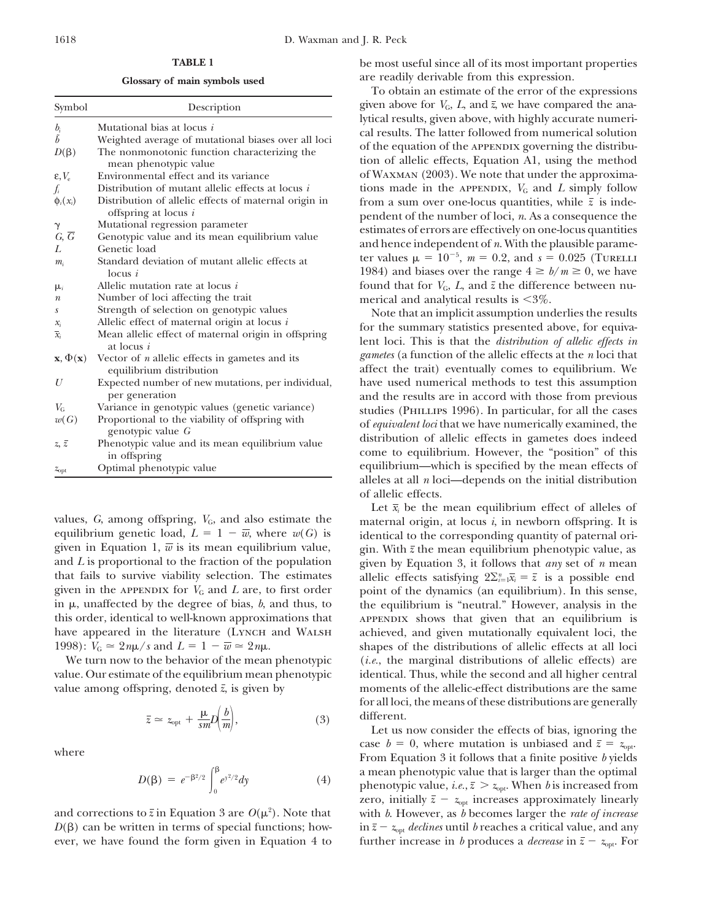| Symbol                             | Description                                                                                                                                                | given above for $V_G$ , L, and $\bar{z}$ , we have compared the ana-                                                                                                                                                                                                                                                                                                                                                                                                                                                                                                                                                                                                                                                                                                                                                                                                                                                                                                                                                                                            |
|------------------------------------|------------------------------------------------------------------------------------------------------------------------------------------------------------|-----------------------------------------------------------------------------------------------------------------------------------------------------------------------------------------------------------------------------------------------------------------------------------------------------------------------------------------------------------------------------------------------------------------------------------------------------------------------------------------------------------------------------------------------------------------------------------------------------------------------------------------------------------------------------------------------------------------------------------------------------------------------------------------------------------------------------------------------------------------------------------------------------------------------------------------------------------------------------------------------------------------------------------------------------------------|
| $b_i$<br>$\tilde{b}$<br>$D(\beta)$ | Mutational bias at locus i<br>Weighted average of mutational biases over all loci<br>The nonmonotonic function characterizing the<br>mean phenotypic value | lytical results, given above, with highly accurate numeri-<br>cal results. The latter followed from numerical solution<br>of the equation of the APPENDIX governing the distribu-<br>tion of allelic effects, Equation A1, using the method<br>of WAXMAN (2003). We note that under the approxima-<br>tions made in the APPENDIX, $V_G$ and L simply follow<br>from a sum over one-locus quantities, while $\bar{z}$ is inde-<br>pendent of the number of loci, $n$ . As a consequence the<br>estimates of errors are effectively on one-locus quantities<br>and hence independent of $n$ . With the plausible parame-<br>ter values $\mu = 10^{-5}$ , $m = 0.2$ , and $s = 0.025$ (TURELLI<br>1984) and biases over the range $4 \ge b/m \ge 0$ , we have                                                                                                                                                                                                                                                                                                      |
| $\varepsilon, V_{\rm e}$           | Environmental effect and its variance                                                                                                                      |                                                                                                                                                                                                                                                                                                                                                                                                                                                                                                                                                                                                                                                                                                                                                                                                                                                                                                                                                                                                                                                                 |
| $f_i$                              | Distribution of mutant allelic effects at locus i                                                                                                          |                                                                                                                                                                                                                                                                                                                                                                                                                                                                                                                                                                                                                                                                                                                                                                                                                                                                                                                                                                                                                                                                 |
| $\phi_i(x_i)$                      | Distribution of allelic effects of maternal origin in<br>offspring at locus $i$                                                                            |                                                                                                                                                                                                                                                                                                                                                                                                                                                                                                                                                                                                                                                                                                                                                                                                                                                                                                                                                                                                                                                                 |
| $\gamma$                           | Mutational regression parameter                                                                                                                            |                                                                                                                                                                                                                                                                                                                                                                                                                                                                                                                                                                                                                                                                                                                                                                                                                                                                                                                                                                                                                                                                 |
| $G, \overline{G}$                  | Genotypic value and its mean equilibrium value                                                                                                             |                                                                                                                                                                                                                                                                                                                                                                                                                                                                                                                                                                                                                                                                                                                                                                                                                                                                                                                                                                                                                                                                 |
| L                                  | Genetic load                                                                                                                                               |                                                                                                                                                                                                                                                                                                                                                                                                                                                                                                                                                                                                                                                                                                                                                                                                                                                                                                                                                                                                                                                                 |
| $m_i$                              | Standard deviation of mutant allelic effects at<br>locus i                                                                                                 |                                                                                                                                                                                                                                                                                                                                                                                                                                                                                                                                                                                                                                                                                                                                                                                                                                                                                                                                                                                                                                                                 |
| $\mu_i$                            | Allelic mutation rate at locus <i>i</i>                                                                                                                    | found that for $V_G$ , L, and $\bar{z}$ the difference between nu-                                                                                                                                                                                                                                                                                                                                                                                                                                                                                                                                                                                                                                                                                                                                                                                                                                                                                                                                                                                              |
| $\boldsymbol{n}$                   | Number of loci affecting the trait                                                                                                                         | merical and analytical results is $\leq 3\%$ .<br>Note that an implicit assumption underlies the results                                                                                                                                                                                                                                                                                                                                                                                                                                                                                                                                                                                                                                                                                                                                                                                                                                                                                                                                                        |
| $\boldsymbol{S}$                   | Strength of selection on genotypic values                                                                                                                  |                                                                                                                                                                                                                                                                                                                                                                                                                                                                                                                                                                                                                                                                                                                                                                                                                                                                                                                                                                                                                                                                 |
| $x_i$                              | Allelic effect of maternal origin at locus $i$                                                                                                             | for the summary statistics presented above, for equiva-                                                                                                                                                                                                                                                                                                                                                                                                                                                                                                                                                                                                                                                                                                                                                                                                                                                                                                                                                                                                         |
| $\overline{x}_i$                   | Mean allelic effect of maternal origin in offspring<br>at locus $i$                                                                                        | lent loci. This is that the <i>distribution of allelic effects in</i><br><i>gametes</i> (a function of the allelic effects at the <i>n</i> loci that<br>affect the trait) eventually comes to equilibrium. We<br>have used numerical methods to test this assumption<br>and the results are in accord with those from previous<br>studies (PHILLIPS 1996). In particular, for all the cases<br>of equivalent loci that we have numerically examined, the<br>distribution of allelic effects in gametes does indeed<br>come to equilibrium. However, the "position" of this<br>equilibrium—which is specified by the mean effects of<br>$\mathcal{L} = \mathbf{1} \mathbf{1} \mathbf{1} + \mathbf{1} \mathbf{1} + \mathbf{1} \mathbf{1} + \mathbf{1} \mathbf{1} + \mathbf{1} \mathbf{1} + \mathbf{1} \mathbf{1} + \mathbf{1} \mathbf{1} + \mathbf{1} \mathbf{1} + \mathbf{1} \mathbf{1} + \mathbf{1} \mathbf{1} + \mathbf{1} \mathbf{1} + \mathbf{1} \mathbf{1} + \mathbf{1} \mathbf{1} + \mathbf{1} \mathbf{1} + \mathbf{1} \mathbf{1} + \mathbf{1} \mathbf{1}$ |
| $\mathbf{x}, \Phi(\mathbf{x})$     | Vector of $n$ allelic effects in gametes and its<br>equilibrium distribution                                                                               |                                                                                                                                                                                                                                                                                                                                                                                                                                                                                                                                                                                                                                                                                                                                                                                                                                                                                                                                                                                                                                                                 |
| U                                  | Expected number of new mutations, per individual,<br>per generation                                                                                        |                                                                                                                                                                                                                                                                                                                                                                                                                                                                                                                                                                                                                                                                                                                                                                                                                                                                                                                                                                                                                                                                 |
| $V_{\rm G}$                        | Variance in genotypic values (genetic variance)                                                                                                            |                                                                                                                                                                                                                                                                                                                                                                                                                                                                                                                                                                                                                                                                                                                                                                                                                                                                                                                                                                                                                                                                 |
| w(G)                               | Proportional to the viability of offspring with<br>genotypic value G                                                                                       |                                                                                                                                                                                                                                                                                                                                                                                                                                                                                                                                                                                                                                                                                                                                                                                                                                                                                                                                                                                                                                                                 |
| $z, \bar{z}$                       | Phenotypic value and its mean equilibrium value<br>in offspring                                                                                            |                                                                                                                                                                                                                                                                                                                                                                                                                                                                                                                                                                                                                                                                                                                                                                                                                                                                                                                                                                                                                                                                 |
| $z_{\rm opt}$                      | Optimal phenotypic value                                                                                                                                   |                                                                                                                                                                                                                                                                                                                                                                                                                                                                                                                                                                                                                                                                                                                                                                                                                                                                                                                                                                                                                                                                 |

values,  $G$ , among offspring,  $V_G$ , and also estimate the maternal origin, at locus  $i$ , in newborn offspring. It is equilibrium genetic load,  $L = 1 - \overline{w}$ , where  $w(G)$  is identical to the corresponding quantity of paternal ori-<br>given in Equation 1,  $\overline{w}$  is its mean equilibrium value,  $\overline{w}$  in With  $\overline{z}$  the mean equilibrium given in Equation 1, *w* is its mean equilibrium value, gin. With  $\bar{z}$  the mean equilibrium phenotypic value, as and *L* is proportional to the fraction of the population given by Equation 3, it follows that *any* set that fails to survive viability selection. The estimates given in the APPENDIX for  $V_G$  and  $L$  are, to first order given in the appendix for  $V_G$  and *L* are, to first order point of the dynamics (an equilibrium). In this sense, in  $\mu$ , unaffected by the degree of bias, *b*, and thus, to the equilibrium is "neutral." However, analysi this order, identical to well-known approximations that approximations shows that given that an equilibrium is have appeared in the literature (Lynch and WALSH achieved, and given mutationally equivalent loci, the

$$
\bar{z} \simeq z_{\rm opt} + \frac{\mu}{sm} D\left(\frac{b}{m}\right),\tag{3}
$$
 different.  
Let us

$$
D(\beta) = e^{-\beta^2/2} \int_0^\beta e^{y^2/2} dy \tag{4}
$$

and corrections to  $\bar{z}$  in Equation 3 are  $O(\mu^2)$ . Note that

**TABLE 1** be most useful since all of its most important properties Glossary of main symbols used are readily derivable from this expression.

To obtain an estimate of the error of the expressions given above for  $V_G$ ,  $L$ , and  $\bar{z}$ , we have compared the ana-<br>lytical results, given above, with highly accurate numerical results. The latter followed from numerical solution<br>of the equation of the APPENDIX governing the distribution of allelic effects, Equation A1, using the method of WAXMAN (2003). We note that under the approxima*fi* distribution of mutation  $\mathbf{F}_{\mathbf{G}}$  and  $\mathbf{F}_{\mathbf{G}}$  and  $\mathbf{F}_{\mathbf{G}}$  is simply follow from a sum over one-locus quantities, while  $\bar{z}$  is independent of the number of loci, *n*. As a consequence the estimates of errors are effectively on one-locus quantities<br>and hence independent of  $n$ . With the plausible paramelocus *i* 1984) and biases over the range  $4 \ge b/m \ge 0$ , we have found that for  $V_G$ , *L*, and  $\bar{z}$  the difference between nu-

> *gametes* (a function of the allelic effects at the *n* loci that affect the trait) eventually comes to equilibrium. We have used numerical methods to test this assumption and the results are in accord with those from previous equilibrium—which is specified by the mean effects of alleles at all *n* loci—depends on the initial distribution of allelic effects.

Let  $\bar{x}_i$  be the mean equilibrium effect of alleles of given by Equation 3, it follows that *any* set of *n* mean allelic effects satisfying  $2\Sigma_{i=1}^n \overline{x}_i = \overline{z}$  is a possible end the equilibrium is "neutral." However, analysis in the 1998):  $V_G \approx 2n\mu/s$  and  $L = 1 - \overline{w} \approx 2n\mu$ . shapes of the distributions of allelic effects at all loci We turn now to the behavior of the mean phenotypic (*i.e.*, the marginal distributions of allelic effects) are value. Our estimate of the equilibrium mean phenotypic identical. Thus, while the second and all higher central value among offspring, denoted  $\bar{z}$ , is given by moments of the allelic-effect distributions are the same for all loci, the means of these distributions are generally

Let us now consider the effects of bias, ignoring the where where  $b = 0$ , where mutation is unbiased and  $\bar{z} = z_{opt}$ .<br>From Equation 3 it follows that a finite positive *b* yields  $D(\beta) = e^{-\beta^2/2} \int_0^{\beta} e^{y^2/2} dy$  (4) a mean phenotypic value that is larger than the optimal phenotypic value, *i.e.*,  $\bar{z} > z_{\text{opt}}$ . When *b* is increased from zero, initially  $\bar{z} - z_{opt}$  increases approximately linearly with *b*. However, as *b* becomes larger the *rate of increase*  $D(\beta)$  can be written in terms of special functions; how- in  $\bar{z} - z_{opt}$  *declines* until *b* reaches a critical value, and any ever, we have found the form given in Equation 4 to further increase in *b* produces a *decrease* in  $\bar{z} - z_{opt}$ . For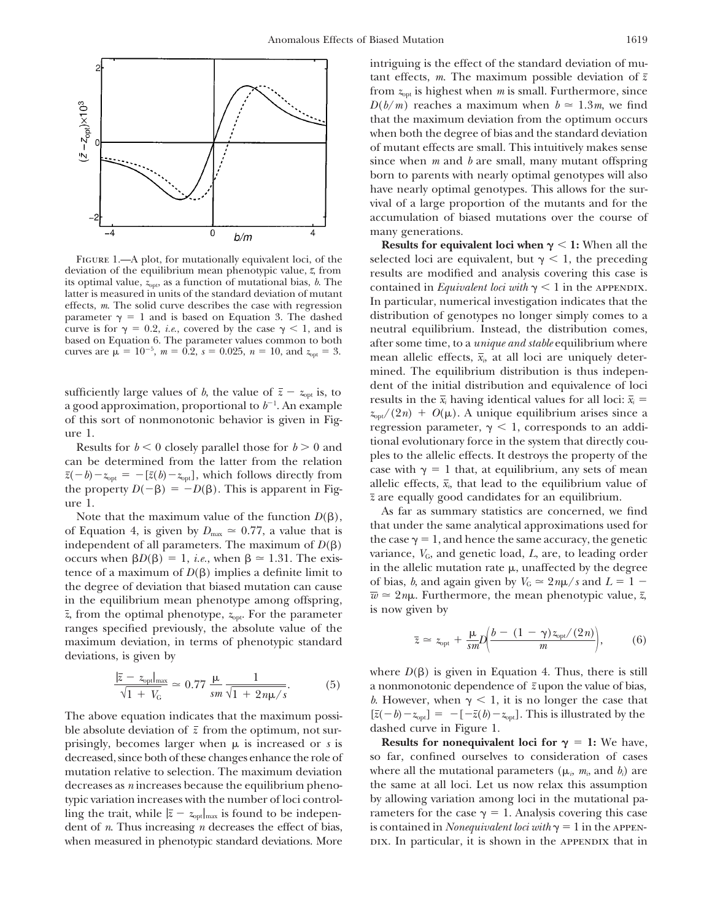

tence of a maximum of  $D(\beta)$  implies a definite limit to<br>the degree of deviation that biased mutation can cause<br>in the equilibrium mean phenotype among offspring,<br> $\overline{w} \approx 2n\mu$ . Furthermore, the mean phenotypic value, ranges specified previously, the absolute value of the maximum deviation, in terms of phenotypic standard deviations, is given by

$$
\frac{|\overline{z} - z_{\text{opt}}|_{\text{max}}}{\sqrt{1 + V_{\text{G}}}} \simeq 0.77 \frac{\mu}{sm} \frac{1}{\sqrt{1 + 2n\mu/s}}.\tag{5}
$$

ble absolute deviation of  $\bar{z}$  from the optimum, not surling the trait, while  $|\bar{z} - z_{\text{opt}}|_{\text{max}}$  is found to be indepen-<br>denote the case  $\gamma = 1$ . Analysis covering this case<br>dent of *n*. Thus increasing *n* decreases the effect of bias,<br>is contained in *Nonequivalent loci* dent of *n*. Thus increasing *n* decreases the effect of bias,

intriguing is the effect of the standard deviation of mutant effects, *m*. The maximum possible deviation of  $\bar{z}$ from  $z<sub>opt</sub>$  is highest when *m* is small. Furthermore, since  $D(b/m)$  reaches a maximum when  $b \approx 1.3m$ , we find that the maximum deviation from the optimum occurs when both the degree of bias and the standard deviation of mutant effects are small. This intuitively makes sense since when *m* and *b* are small, many mutant offspring born to parents with nearly optimal genotypes will also have nearly optimal genotypes. This allows for the survival of a large proportion of the mutants and for the accumulation of biased mutations over the course of many generations.

**Results for equivalent loci when**  $\gamma$  **< 1: When all the** FIGURE 1.—A plot, for mutationally equivalent loci, of the selected loci are equivalent, but  $\gamma < 1$ , the preceding deviation of the equilibrium mean phenotypic value,  $\overline{z}$ , from results are modified and analysis cove deviation of the equilibrium mean phenotypic value,  $\bar{z}$ , from<br>its optimal value,  $z_{\text{opt}}$ , as a function of mutational bias, b. The<br>latter is measured in units of the standard deviation of mutant<br>effects, m. The soli parameter  $\gamma = 1$  and is based on Equation 3. The dashed distribution of genotypes no longer simply comes to a curve is for  $\gamma = 0.2$ , *i.e.*, covered by the case  $\gamma < 1$ , and is neutral equilibrium. Instead, the distribution comes, based on Equation 6. The parameter values common to both after some time to a *unique and stable* e based on Equation 6. The parameter values common to both after some time, to a *unique and stable* equilibrium where curves are  $\mu = 10^{-5}$ ,  $m = 0.2$ ,  $s = 0.025$ ,  $n = 10$ , and  $z_{opt} = 3$ . mean allelic effects,  $\bar{x}_i$ , at all loci are uniquely determined. The equilibrium distribution is thus indepensufficiently large values of b, the value of  $\bar{z} - z_{opt}$  is, to<br>a good approximation, proportional to  $b^{-1}$ . An example<br>of the  $\bar{x}_i$  having identical values for all loci:  $\bar{x}_i = z_{opt}/(2n) + O(\mu)$ . A unique equilibrium ar a good approximation, proportional to  $b^{-1}$ . An example<br>of this sort of nonmonotonic behavior is given in Fig-<br>ure 1.<br>Results for  $b < 0$  closely parallel those for  $b > 0$  and<br>can be determined from the latter from the re

Note that the maximum value of the function  $D(\beta)$ ,<br>
of Equation 4, is given by  $D_{\text{max}} \approx 0.77$ , a value that is<br>
independent of all parameters. The maximum of  $D(\beta)$ <br>
occurs when  $\beta D(\beta) = 1$ , *i.e.*, when  $\beta \approx 1.31$ . T

$$
\bar{z} \simeq z_{\rm opt} + \frac{\mu}{sm} D\left(\frac{b - (1 - \gamma)z_{\rm opt}/(2n)}{m}\right),\tag{6}
$$

where  $D(\beta)$  is given in Equation 4. Thus, there is still a nonmonotonic dependence of  $\bar{z}$  upon the value of bias, *b*. However, when  $\gamma$  < 1, it is no longer the case that The above equation indicates that the maximum possi-<br> $[\bar{z}(-b)-z_{opt}] = -[-\bar{z}(b)-z_{opt}]$ . This is illustrated by the ble absolute deviation of  $\bar{z}$  from the optimum, not sur-<br>dashed curve in Figure 1.

prisingly, becomes larger when  $\mu$  is increased or *s* is **Results for nonequivalent loci for**  $\gamma = 1$ : We have, decreased, since both of these changes enhance the role of so far, confined ourselves to consideration of cases mutation relative to selection. The maximum deviation where all the mutational parameters ( $\mu_i$ ,  $m_i$ , and  $b_i$ ) are decreases as *n* increases because the equilibrium pheno- the same at all loci. Let us now relax this assumption typic variation increases with the number of loci control- by allowing variation among loci in the mutational pawhen measured in phenotypic standard deviations. More pix. In particular, it is shown in the appendix that in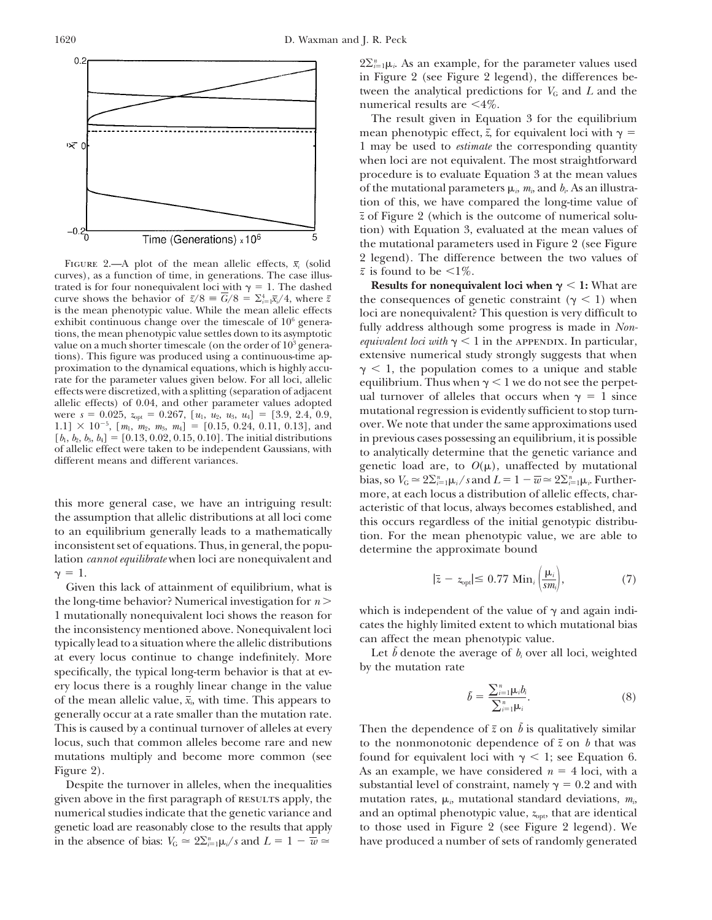

FIGURE 2.—A plot of the mean allelic effects,  $\bar{x}_i$  (solid  $\bar{z}$  is found to be  $\langle 1\% \rangle$ .<br>
curves), as a function of time, in generations. The case illus-<br>
trated is for four nonequivalent loci with  $\gamma = 1$ . The das curve shows the behavior of  $\bar{z}/8 = G/8 = \sum_{i=1}^{4} \bar{x}_i/4$ , where  $\bar{z}$ tions). This figure was produced using a continuous-time ap- $1.1] \times 10^{-5}$ ,  $[m_1, m_2, m_3, m_4] = [0.15, 0.24, 0.11, 0.13]$ , and  $[b_1, b_2, b_3, b_4] = [0.13, 0.02, 0.15, 0.10]$ . The initial distributions

this more general case, we have an intriguing result:<br>the assumption that allelic distributions at all loci come<br>to an equilibrium generally leads to a mathematically<br>inconsistent set of equations. Thus, in general, the po

the long-time behavior? Numerical investigation for *n* 1 mutationally nonequivalent loci shows the reason for<br>the inconsistency mentioned above. Nonequivalent loci<br>typically limited extent to which mutational bias<br>typically lead to a situation where the allelic distributions<br> ery locus there is a roughly linear change in the value of the mean allelic value,  $\bar{x}_i$ , with time. This appears to generally occur at a rate smaller than the mutation rate. This is caused by a continual turnover of alleles at every Then the dependence of  $\bar{z}$  on  $\tilde{b}$  is qualitatively similar locus, such that common alleles become rare and new to the nonmonotonic dependence of  $\bar{z}$  on *b* that was

in the absence of bias:  $V_G \simeq 2\Sigma_{i=1}^n \mu_i/s$  and  $L = 1 - \overline{w} \simeq$  have produced a number of sets of randomly generated

 $2\Sigma_{i=1}^n \mu_i$ . As an example, for the parameter values used in Figure 2 (see Figure 2 legend), the differences between the analytical predictions for  $V_G$  and  $L$  and the numerical results are  $\leq 4\%$ .

The result given in Equation 3 for the equilibrium mean phenotypic effect,  $\bar{z}$ , for equivalent loci with  $\gamma =$ 1 may be used to *estimate* the corresponding quantity when loci are not equivalent. The most straightforward procedure is to evaluate Equation 3 at the mean values of the mutational parameters  $\mu_i$ ,  $m_i$ , and  $b_i$ . As an illustration of this, we have compared the long-time value of *z* of Figure 2 (which is the outcome of numerical solution) with Equation 3, evaluated at the mean values of the mutational parameters used in Figure 2 (see Figure

**Results for nonequivalent loci when**  $\gamma$  **< 1:** What are curve shows the behavior of  $\bar{z}/8 = G/8 = \sum_{i=1}^{4} \bar{x}_i/4$ , where  $\bar{z}$  the consequences of genetic constraint ( $\gamma < 1$ ) when is the mean phenotypic value. While the mean allelic effects loci are nonequivalent? This que is the mean phenotypic value. While the mean allelic effects<br>exhibit continuous change over the timescale of  $10^6$  genera-<br>tions, the mean phenotypic value settles down to its asymptotic<br>value on a much shorter timescale proximation to the dynamical equations, which is highly accu-<br>  $\gamma < 1$ , the population comes to a unique and stable<br>
rate for the parameter values given below. For all loci, allelic<br>
equilibrium. Thus when  $\gamma < 1$  we do n rate for the parameter values given below. For all loci, allelic equilibrium. Thus when  $\gamma$  < 1 we do not see the perpet-<br>effects were discretized, with a splitting (separation of adjacent allelic effects) of 0.04, and o over. We note that under the same approximations used  $[b_1, b_2, b_3, b_4] = [0.13, 0.02, 0.15, 0.10]$ . The initial distributions in previous cases possessing an equilibrium, it is possible of allelic effect were taken to be independent Gaussians, with to analytically determine t of allelic effect were taken to be independent Gaussians, with to analytically determine that the genetic variance and different means and different variances.<br>genetic load are, to  $O(\mu)$ , unaffected by mutational bias, so  $V_G \simeq 2\Sigma_{i=1}^n \mu_i / s$  and  $L = 1 - \overline{w} \simeq 2\Sigma_{i=1}^n \mu_i$ . Further-

$$
\gamma = 1.
$$
\nGiven this lack of attainment of equilibrium, what is

\n
$$
|\bar{z} - z_{\text{opt}}| \leq 0.77 \text{ Min}_i \left( \frac{\mu_i}{s m_i} \right),\tag{7}
$$

$$
\tilde{b} = \frac{\sum_{i=1}^{n} \mu_i b_i}{\sum_{i=1}^{n} \mu_i}.
$$
\n(8)

mutations multiply and become more common (see found for equivalent loci with  $\gamma$  < 1; see Equation 6. Figure 2). The same considered *n* = 4 loci, with a same considered *n* = 4 loci, with a same considered *n* = 4 loci, with a Despite the turnover in alleles, when the inequalities substantial level of constraint, namely  $\gamma = 0.2$  and with given above in the first paragraph of RESULTS apply, the mutation rates,  $\mu_i$ , mutational standard deviations,  $m_i$ numerical studies indicate that the genetic variance and an optimal phenotypic value,  $z_{\text{opt}}$ , that are identical genetic load are reasonably close to the results that apply to those used in Figure 2 (see Figure 2 legend). We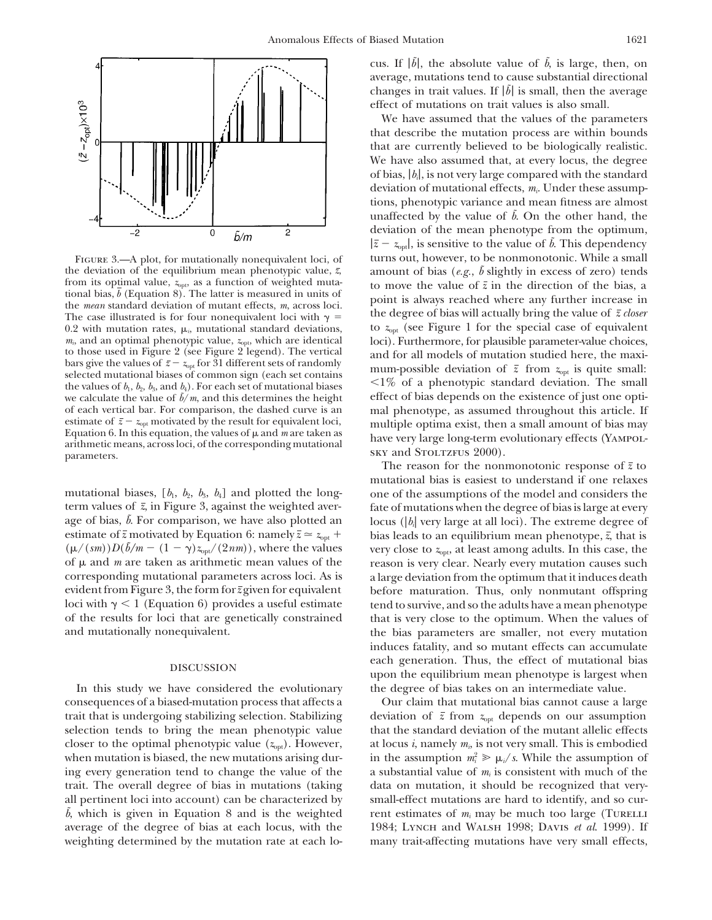

0.2 with mutation rates,  $\mu_{i}$  mutational standard deviations,  $m_{i}$ , and an optimal phenotypic value,  $z_{\text{opt}}$ , which are identical we calculate the value of  $\bar{b}/m$ , and this determines the height of each vertical bar. For comparison, the dashed curve is an estimate of  $z - z_{opt}$  motivated by the result for equivalent loci,<br>
Equation 6. In this equation, the values of  $\mu$  and *m* are taken as<br>
arithmetic means, across loci, of the corresponding mutational<br>
parameters. (YAMPOL

mutational biases,  $[b_1, b_2, b_3, b_4]$  and plotted the long- one of the assumptions of the model and considers the term values of *z*, in Figure 3, against the weighted aver- fate of mutations when the degree of bias is large at every age of bias,  $\tilde{b}$ . For comparison, we have also plotted an locus ( $|b_i|$  very large at all loci). The extreme degree of estimate of  $\bar{z}$  motivated by Equation 6: namely  $\bar{z} \approx z_{opt}$  bias leads to an equilibrium mean phenotype,  $\bar{z}$ , that is of  $\mu$  and  $m$  are taken as arithmetic mean values of the reason is very clear. Nearly every mutation causes such corresponding mutational parameters across loci. As is a large deviation from the optimum that it induces death evident from Figure 3, the form for*z* given for equivalent before maturation. Thus, only nonmutant offspring loci with  $\gamma$  < 1 (Equation 6) provides a useful estimate tend to survive, and so the adults have a mean phenotype of the results for loci that are genetically constrained that is very close to the optimum. When the values of

consequences of a biased-mutation process that affects a Our claim that mutational bias cannot cause a large trait that is undergoing stabilizing selection. Stabilizing deviation of  $\bar{z}$  from  $z_{\text{opt}}$  depends on our assumption selection tends to bring the mean phenotypic value that the standard deviation of the mutant allelic effects closer to the optimal phenotypic value  $(z_{opt})$ . However, at locus *i*, namely  $m_i$ , is not very small. This is embodied when mutation is biased, the new mutations arising during every generation tend to change the value of the  $\cdots$  a substantial value of  $m_i$  is consistent with much of the trait. The overall degree of bias in mutations (taking data on mutation, it should be recognized that veryall pertinent loci into account) can be characterized by small-effect mutations are hard to identify, and so cur- $\bar{b}$ , which is given in Equation 8 and is the weighted rent estimates of  $m_i$  may be much too large (Turelli average of the degree of bias at each locus, with the 1984; Lynch and Walsh 1998; Davis *et al*. 1999). If weighting determined by the mutation rate at each lo- many trait-affecting mutations have very small effects,

cus. If  $|\tilde{b}|$ , the absolute value of  $\tilde{b}$ , is large, then, on average, mutations tend to cause substantial directional changes in trait values. If  $|\vec{b}|$  is small, then the average effect of mutations on trait values is also small.

We have assumed that the values of the parameters that describe the mutation process are within bounds that are currently believed to be biologically realistic. We have also assumed that, at every locus, the degree of bias, |*bi*|, is not very large compared with the standard deviation of mutational effects, *mi*. Under these assumptions, phenotypic variance and mean fitness are almost unaffected by the value of  $\tilde{b}$ . On the other hand, the deviation of the mean phenotype from the optimum,  $|\bar{z} - z_{opt}|$ , is sensitive to the value of  $\bar{b}$ . This dependency FIGURE 3.—A plot, for mutationally nonequivalent loci, of turns out, however, to be nonmonotonic. While a small the deviation of the equilibrium mean phenotypic value,  $\bar{z}$ , amount of bias (*e.g.*,  $\tilde{b}$  slightly in excess of zero) tends from its optimal value,  $z_{\text{opt}}$  as a function of weighted mutation move the value of  $\$ trom its optimal value,  $z_{\text{opt}}$ , as a function of weighted muta-<br>to move the value of  $\bar{z}$  in the direction of the bias, a<br>tional bias,  $\bar{b}$  (Equation 8). The latter is measured in units of<br>the *mean* standard dev *m<sub>ii</sub>* and an optimal phenotypic value,  $z_{\text{opt}}$ , which are identical loci). Furthermore, for plausible parameter-value choices, to those used in Figure 2 (see Figure 2 legend). The vertical and for all models of mutati to those used in Figure 2 (see Figure 2 legend). The vertical<br>bars give the values of  $\bar{z} - z_{opt}$  for 31 different sets of randomly<br>selected mutational biases of common sign (each set contains<br>the values of  $b_1$ ,  $b_2$ , of each vertical bar. For comparison, the dashed curve is an mal phenotype, as assumed throughout this article. If estimate of  $\bar{z} - z_{\text{out}}$  motivated by the result for equivalent loci, multiple optima exist then a smal

The reason for the nonmonotonic response of  $\bar{z}$  to mutational bias is easiest to understand if one relaxes  $(\mu/(sm))D(b/m - (1 - \gamma)z_{\text{opt}}/(2nm))$ , where the values very close to  $z_{\text{opt}}$ , at least among adults. In this case, the and mutationally nonequivalent. The bias parameters are smaller, not every mutation induces fatality, and so mutant effects can accumulate each generation. Thus, the effect of mutational bias DISCUSSION upon the equilibrium mean phenotype is largest when In this study we have considered the evolutionary the degree of bias takes on an intermediate value.

in the assumption  $m_i^2 \ge \mu_i/s$ . While the assumption of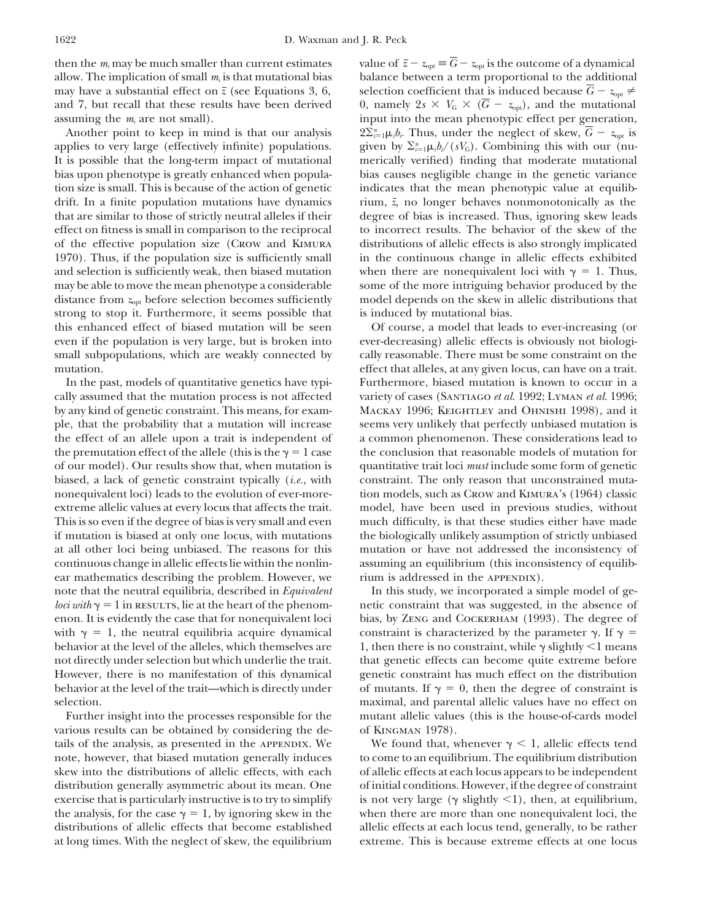allow. The implication of small  $m_i$  is that mutational bias may have a substantial effect on  $\bar{z}$  (see Equations 3, 6, selection coefficient that is induced because  $\bar{G} - z_{opt} \neq$ and 7, but recall that these results have been derived 0, namely  $2s \times V_G \times (\overline{G} - z_{opt})$ , and the mutational

applies to very large (effectively infinite) populations. It is possible that the long-term impact of mutational merically verified) finding that moderate mutational bias upon phenotype is greatly enhanced when popula- bias causes negligible change in the genetic variance tion size is small. This is because of the action of genetic indicates that the mean phenotypic value at equilibdrift. In a finite population mutations have dynamics rium,  $\bar{z}$ , no longer behaves nonmonotonically as the that are similar to those of strictly neutral alleles if their degree of bias is increased. Thus, ignoring skew leads effect on fitness is small in comparison to the reciprocal to incorrect results. The behavior of the skew of the of the effective population size (Crow and Kimura distributions of allelic effects is also strongly implicated 1970). Thus, if the population size is sufficiently small in the continuous change in allelic effects exhibited and selection is sufficiently weak, then biased mutation when there are nonequivalent loci with  $\gamma = 1$ . Thus, may be able to move the mean phenotype a considerable some of the more intriguing behavior produced by the distance from  $z_{\text{opt}}$  before selection becomes sufficiently model depends on the skew in allelic distributions that strong to stop it. Furthermore, it seems possible that is induced by mutational bias. this enhanced effect of biased mutation will be seen Of course, a model that leads to ever-increasing (or even if the population is very large, but is broken into ever-decreasing) allelic effects is obviously not biologismall subpopulations, which are weakly connected by cally reasonable. There must be some constraint on the mutation. **effect** that alleles, at any given locus, can have on a trait.

cally assumed that the mutation process is not affected variety of cases (Santiago *et al*. 1992; Lyman *et al*. 1996; by any kind of genetic constraint. This means, for exam- Mackay 1996; Keightley and Ohnishi 1998), and it ple, that the probability that a mutation will increase seems very unlikely that perfectly unbiased mutation is the effect of an allele upon a trait is independent of a common phenomenon. These considerations lead to the premutation effect of the allele (this is the  $\gamma = 1$  case the conclusion that reasonable models of mutation for of our model). Our results show that, when mutation is quantitative trait loci *must* include some form of genetic biased, a lack of genetic constraint typically (*i.e.*, with constraint. The only reason that unconstrained mutanonequivalent loci) leads to the evolution of ever-more- tion models, such as Crow and Kimura's (1964) classic extreme allelic values at every locus that affects the trait. model, have been used in previous studies, without This is so even if the degree of bias is very small and even much difficulty, is that these studies either have made if mutation is biased at only one locus, with mutations the biologically unlikely assumption of strictly unbiased at all other loci being unbiased. The reasons for this mutation or have not addressed the inconsistency of continuous change in allelic effects lie within the nonlin- assuming an equilibrium (this inconsistency of equilibear mathematics describing the problem. However, we rium is addressed in the APPENDIX). with  $\gamma = 1$ , the neutral equilibria acquire dynamical constraint is characterized by the parameter  $\gamma$ . If  $\gamma =$ 

various results can be obtained by considering the de- of Kingman 1978).

then the  $m_i$  may be much smaller than current estimates value of  $\bar{z} - z_{opt} \equiv \bar{G} - z_{opt}$  is the outcome of a dynamical allow. The implication of small  $m_i$  is that mutational bias balance between a term proportional to assuming the  $m_i$  are not small). input into the mean phenotypic effect per generation, Another point to keep in mind is that our analysis  $2\Sigma_{i=1}^n \mu_i b_i$ . Thus, under the neglect of skew,  $G-z_{\text{opt}}$  is given by  $\sum_{i=1}^{n} \mu_i b_i/(sV_G)$ . Combining this with our (nu-

In the past, models of quantitative genetics have typi- Furthermore, biased mutation is known to occur in a

note that the neutral equilibria, described in *Equivalent* In this study, we incorporated a simple model of ge*loci with*  $\gamma = 1$  in results, lie at the heart of the phenom- netic constraint that was suggested, in the absence of enon. It is evidently the case that for nonequivalent loci bias, by Zeng and Cockerham (1993). The degree of behavior at the level of the alleles, which themselves are  $\frac{1}{1}$ , then there is no constraint, while  $\gamma$  slightly  $\leq 1$  means not directly under selection but which underlie the trait. that genetic effects can become quite extreme before However, there is no manifestation of this dynamical genetic constraint has much effect on the distribution behavior at the level of the trait—which is directly under of mutants. If  $\gamma = 0$ , then the degree of constraint is selection. The maximal and parental allelic values have no effect on  $maximal$ , and parental allelic values have no effect on Further insight into the processes responsible for the mutant allelic values (this is the house-of-cards model

tails of the analysis, as presented in the appendix. We We found that, whenever  $\gamma$  < 1, allelic effects tend note, however, that biased mutation generally induces to come to an equilibrium. The equilibrium distribution skew into the distributions of allelic effects, with each of allelic effects at each locus appears to be independent distribution generally asymmetric about its mean. One of initial conditions. However, if the degree of constraint exercise that is particularly instructive is to try to simplify is not very large ( $\gamma$  slightly <1), then, at equilibrium, the analysis, for the case  $\gamma = 1$ , by ignoring skew in the when there are more than one nonequivalent loci, the distributions of allelic effects that become established allelic effects at each locus tend, generally, to be rather at long times. With the neglect of skew, the equilibrium extreme. This is because extreme effects at one locus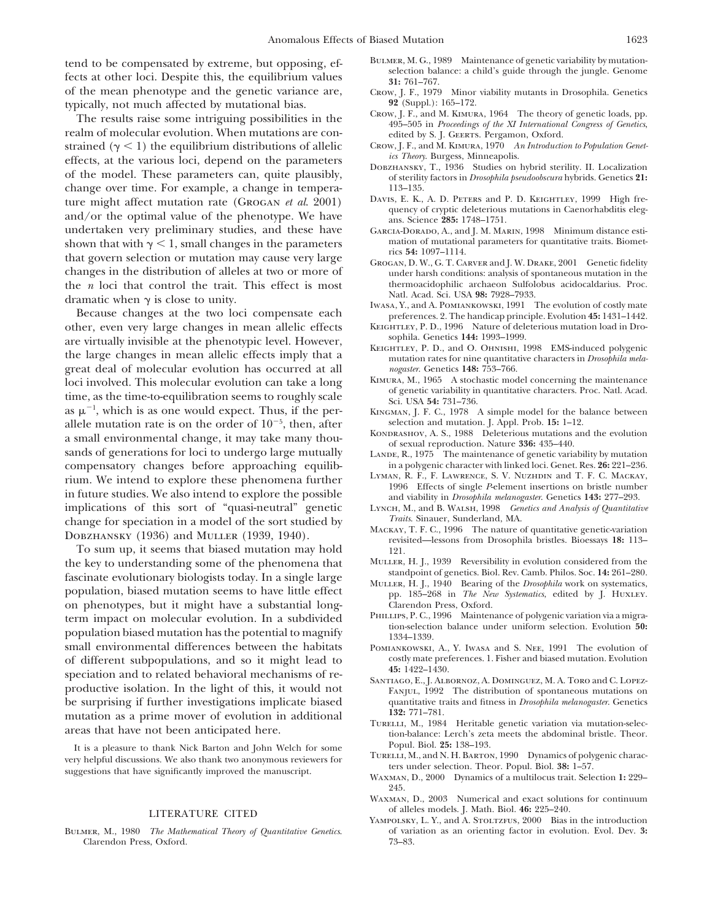tend to be compensated by extreme, but opposing, ef-<br>fects at other loci. Despite this, the equilibrium values<br>of the mean phenotype and the genetic variance are,<br>of the mean phenotype and the genetic variance are,<br> $\frac{31:$ of the mean phenotype and the genetic variance are, Crow, J. F., 1979 Minor typically, not much affected by mutational bias. 92 (Suppl.): 165–172.

typically, not much affected by mutational bias.<br>
The results raise some intriguing possibilities in the<br>
realm of molecular evolution. When mutations are con-<br>
strained ( $\gamma$  < 1) the equilibrium distributions of allelic strained  $(\gamma < 1)$  the equilibrium distributions of allelic Crow, J. F., and M. KIMURA, 1970 *A* offects at the priori depend on the parameters *ics Theory*. Burgess, Minneapolis. effects, at the various loci, depend on the parameters<br>of the model. These parameters can, quite plausibly,<br>change over time. For example, a change in temperation of sterility factors in *Drosophila pseudoobscura* hybrids. change over time. For example, a change in tempera-<br>ture might affect mutation rate (GPOCAN et al. 9001) DAVIS, E. K., A. D. PETERS and P. D. KEIGHTLEY, 1999 High freture might affect mutation rate (GROGAN *et al.* 2001)<br>and/or the optimal value of the phenotype. We have and ans. Science 285: 1748–1751.<br>undertaken very preliminary studies, and these have ans. Science 285: 1748–1751.<br>G shown that with  $\gamma < 1$ , small changes in the parameters<br>that govern selection or mutation may cause very large<br>changes in the distribution of alleles at two or more of<br>changes in the distribution of alleles at two or mor changes in the distribution of alleles at two or more of under harsh conditions: analysis of spontaneous mutation in the  $n$  locit hat control the trait. This effect is most thermoacidophilic archaeon Sulfolobus acidocald the *n* loci that control the trait. This effect is most<br>Natl. Acad. Sci. USA 98: 7928-7933.

dramatic when γ is close to unity.<br>
Because changes at the two loci compensate each<br>
other, even very large changes in mean allelic effects<br>
MASA, Y., and A. POMIANKOWSKI, 1991 The evolution of costly mate<br>
preferences. 2 other, even very large changes in mean allelic effects KEIGHTLEY, P. D., 1996 Nature of deleterious mutation load in Dro- $\frac{1}{2}$  Sophila. Genetics 144: 1993–1999. are virtually invisible at the phenotypic level. However,<br>the large changes in mean allelic effects imply that a<br>great deal of molecular evolution has occurred at all<br>great some mutation rates for nine quantitative charact great deal of molecular evolution has occurred at all *nogaster*. Genetics 148: 753–766.<br>Loci involved This molecular evolution can take a long KIMURA, M., 1965 A stochastic model concerning the maintenance loci involved. This molecular evolution can take a long<br>time, as the time-to-equilibration seems to roughly scale<br>sci. USA 54: 731-736. as  $\mu^{-1}$ , which is as one would expect. Thus, if the perallele mutation rate is on the order of  $10^{-5}$ , then, after selection and mutation. J. Appl. Prob. **15:** 1–12. a small environmental change, it may take many thou-<br>sands of generations for loci to undergo large mutually<br>LANDE, R. 1975 The maintenance of genetic variacompensatory changes before approaching equilib-<br>  $\frac{1}{100}$  in a polygenic character with linked loci. Genet. Res. 26: 221–236.<br>
LYMAN, R. F., F. LAWRENCE, S. V. NUZHDIN and T. F. C. MACKAY, rium. We intend to explore these phenomena further<br>in future studies. We also intend to explore the possible<br>in future studies. We also intend to explore the possible<br>and viability in *Drosophila melanogaster*. Genetics 14 implications of this sort of "quasi-neutral" genetic Lynch, M., and B. WALSH, 1998 *Genetics and Analysis of Quantitative*<br> *Change* for speciation in a model of the sort studied by *Traits*. Sinauer, Sunderland, MA. change for speciation in a model of the sort studied by *Traits*. Sinauer, Sunderland, MA.<br>
MACKAY, T. F. C., 1996 The nature of quantitative genetic-variation<br>
MACKAY, T. F. C., 1996 The nature of quantitative genetic-var

To sum up, it seems that biased mutation may hold<br>in the section of the phenomena that MULLER, H. J., 1939 Reversibility in evolution considered from the the key to understanding some of the phenomena that MULLER, H. J., 1939 Reversibility in evolution considered from the standpoint of genetics. Biol. Rev. Camb. Philos. Soc. 14: 261–280. fascinate evolutionary biologists today. In a single large standpoint of generics. Biol. Kev. Camb. Fillos. Soc. 14: 201-200.<br>
population, biased mutation seems to have little effect pp. 185-268 in *The New Systematics*, e on phenotypes, but it might have a substantial long-<br>
Larendon Press, Oxford.<br>
PHILLIPS, P. C., 1996 Maintenance of polygenic variation via a migra-<br>
Larendon PHILLIPS, P. C., 1996 Maintenance of polygenic variation via a term impact on molecular evolution. In a subdivided<br>population biased mutation has the potential to magnify<br> $1334-1339$ . small environmental differences between the habitats POMIANKOWSKI, A., Y. IWASA and S. NEE, 1991 The evolution of of different subpopulations, and so it might lead to costly mate preferences. 1. Fisher and biased mutation. Evolution appearing and to melantical helperisman explorions of me speciation and to related behavioral mechanisms of re-<br>productive isolation. In the light of this, it would not FANJUL, 1992 The distribution of spontaneous mutations on be surprising if further investigations implicate biased quantitative traits and fitness in *Drosophila melanogaster*. Genetics mutation as a prime mover of evolution in additional **132:** 771–781.<br>TURELLI, M., 1984 Heritable genetic variation via mutation-selec-

It is a pleasure to thank Nick Barton and John Welch for some Popul. Biol. 25: 138–193.<br>
very helpful discussions. We also thank two anonymous reviewers for sumer selection. Theor. Popul. Biol. 38: 1–57.<br>
suggestions that

Clarendon Press, Oxford. 73–83.

- 
- 
- 
- 
- 
- 
- GARCIA-DORADO, A., and J. M. MARIN, 1998 Minimum distance esti-<br>mation of mutational parameters for quantitative traits. Biomet-
- 
- 
- 
- 
- 
- KINGMAN, J. F. C., 1978 A simple model for the balance between
- 
- LANDE, R., 1975 The maintenance of genetic variability by mutation
- 
- 
- 
- 
- 
- 
- 
- 
- areas that have not been anticipated here. the contract tion-balance: Lerch's zeta meets the abdominal bristle. Theor.
	-
	- 245.
	- Waxman, D., 2003 Numerical and exact solutions for continuum of alleles models. J. Math. Biol. **46:** 225–240. LITERATURE CITED
- YAMPOLSKY, L. Y., and A. STOLTZFUS, 2000 Bias in the introduction Bulmer, M., 1980 *The Mathematical Theory of Quantitative Genetics*. of variation as an orienting factor in evolution. Evol. Dev. **3:**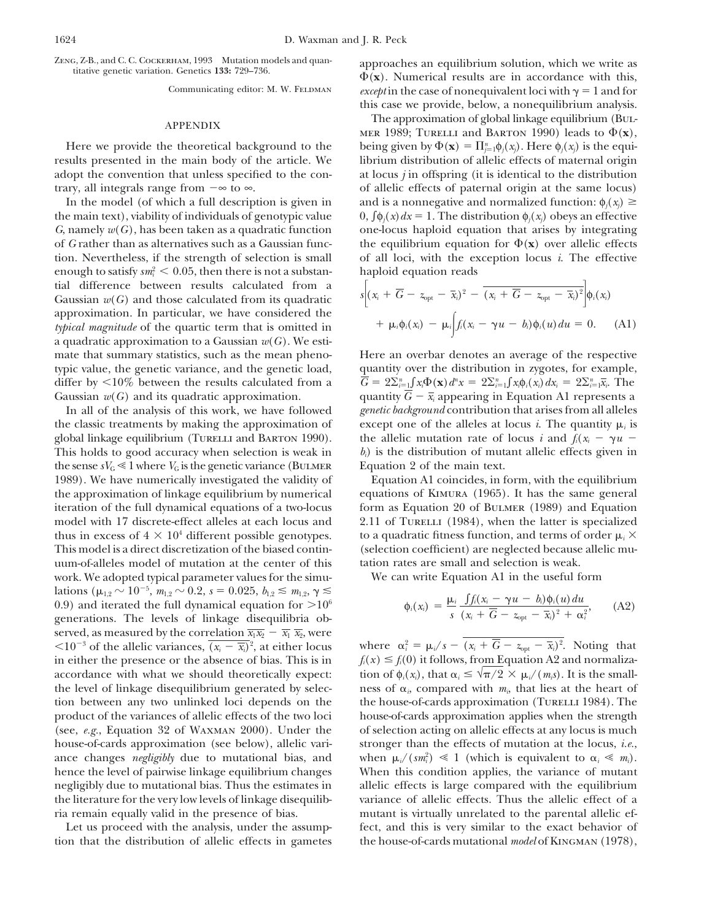enough to satisfy  $sm_i^2 \leq 0.05$ , then there is not a substan-haploid equation reads tial difference between results calculated from a  $G$   $(x_i + \overline{G} - z_{\text{opt}} - \overline{x}_i)^2 - \overline{(x_i + \overline{G} - z_{\text{opt}} - \overline{x}_i)^2} \phi_i(x_i)$ approximation. In particular, we have considered the *typical magnitude* of the quartic term that is omitted in a quadratic approximation to a Gaussian *w*(*G*). We estimate that summary statistics, such as the mean pheno- Here an overbar denotes an average of the respective differ by  $\leq$ 10% between the results calculated from a Gaussian  $w(G)$  and its quadratic approximation. quantity  $G - \bar{x}_i$  appearing in Equation A1 represents a

the classic treatments by making the approximation of except one of the alleles at locus *i*. The quantity  $\mu_i$  is global linkage equilibrium (TURELLI and BARTON 1990). *i* the allelic mutation rate of locus *i* and  $f_i(x_i - \gamma u -$ This holds to good accuracy when selection is weak in *bi*) is the distribution of mutant allelic effects given in the sense  $sV_G \leq 1$  where  $V_G$  is the genetic variance (BULMER Equation 2 of the main text. 1989). We have numerically investigated the validity of Equation A1 coincides, in form, with the equilibrium the approximation of linkage equilibrium by numerical equations of Kimura (1965). It has the same general iteration of the full dynamical equations of a two-locus form as Equation 20 of Bulmer (1989) and Equation model with 17 discrete-effect alleles at each locus and 2.11 of TURELLI (1984), when the latter is specialized thus in excess of  $4 \times 10^4$  different possible genotypes. to a quadratic fitness function, and terms of order  $\mu_i \times$ This model is a direct discretization of the biased contin- (selection coefficient) are neglected because allelic muuum-of-alleles model of mutation at the center of this tation rates are small and selection is weak. work. We adopted typical parameter values for the simu- We can write Equation A1 in the useful form lations ( $\mu_{1,2} \sim 10^{-5}$ ,  $m_{1,2} \sim 0.2$ ,  $s = 0.025$ ,  $b_{1,2} \le m_{1,2}$ ,  $\gamma \le m_{1,2}$ 0.9) and iterated the full dynamical equation for  $>10^6$ generations. The levels of linkage disequilibria observed, as measured by the correlation  $\overline{x_1 x_2} - \overline{x_1} \overline{x_2}$ , were  $\langle 10^{-3} \text{ of the allelic variances, } \overline{(x_i - \overline{x_i})^2} \rangle$ , at either locus where  $\alpha_i^2 = \mu_i / s - (x_i + G - z_{\text{opt}} - \overline{x_i})^2$ . Noting that  $\langle 10^{-3}$  of the allelic variances,  $\overline{(x_i - \overline{x_i})^2}$ , at either locus in either the presence or the absence of bias. This is in  $f_i(x) \leq f_i(0)$  it follows, from Equation A2 and normalizaaccordance with what we should theoretically expect: the level of linkage disequilibrium generated by selec- areas of  $\alpha_i$  compared with  $m_i$ , that lies at the heart of tion between any two unlinked loci depends on the the house-of-cards approximation (Turelli 1984). The product of the variances of allelic effects of the two loci house-of-cards approximation applies when the strength (see, *e.g.*, Equation 32 of Waxman 2000). Under the of selection acting on allelic effects at any locus is much house-of-cards approximation (see below), allelic vari- stronger than the effects of mutation at the locus, *i.e.*, ance changes *negligibly* due to mutational bias, and hence the level of pairwise linkage equilibrium changes When this condition applies, the variance of mutant negligibly due to mutational bias. Thus the estimates in allelic effects is large compared with the equilibrium the literature for the very low levels of linkage disequilib- variance of allelic effects. Thus the allelic effect of a

tion that the distribution of allelic effects in gametes the house-of-cards mutational *model* of KINGMAN (1978),

ZENG, Z-B., and C. C. COCKERHAM, 1993 Mutation models and quan-<br>titative genetic variation. Genetics 133: 729–736.<br> $\Phi(\mathbf{x})$ . Numerical results are in accordance with this, Communicating editor: M. W. FELDMAN *except* in the case of nonequivalent loci with  $\gamma = 1$  and for this case we provide, below, a nonequilibrium analysis.

The approximation of global linkage equilibrium (BuL-<br>APPENDIX  $\frac{1000 \text{ T}}{4000 \text{ A}} = 1000 \text{ A}$ MER 1989; TURELLI and BARTON 1990) leads to  $\Phi(\mathbf{x})$ , Here we provide the theoretical background to the *being given by*  $\Phi(\mathbf{x}) = \prod_{j=1}^{n} \phi_j(x_j)$ . Here  $\phi_j(x_j)$  is the equiresults presented in the main body of the article. We librium distribution of allelic effects of maternal origin adopt the convention that unless specified to the con- at locus *j* in offspring (it is identical to the distribution trary, all integrals range from  $-\infty$  to  $\infty$ . of allelic effects of paternal origin at the same locus) In the model (of which a full description is given in and is a nonnegative and normalized function:  $\phi_j(x_j) \geq$ the main text), viability of individuals of genotypic value  $0, \int \phi_i(x) dx = 1$ . The distribution  $\phi_i(x_i)$  obeys an effective *G*, namely  $w(G)$ , has been taken as a quadratic function one-locus haploid equation that arises by integrating of G rather than as alternatives such as a Gaussian func- the equilibrium equation for  $\Phi(\mathbf{x})$  over allelic effects tion. Nevertheless, if the strength of selection is small of all loci, with the exception locus *i*. The effective

$$
s\bigg[(x_i + \overline{G} - z_{\text{opt}} - \overline{x}_i)^2 - \overline{(x_i + \overline{G} - z_{\text{opt}} - \overline{x}_i)^2}\bigg]\phi_i(x_i) + \mu_i\phi_i(x_i) - \mu_i\bigg[f_i(x_i - \gamma u - b_i)\phi_i(u)\,du = 0. \quad \text{(A1)}
$$

typic value, the genetic variance, and the genetic load, quantity over the distribution in zygotes, for example,  $G = 2\sum_{i=1}^{n} \int x_i \Phi(\mathbf{x}) d^n x = 2\sum_{i=1}^{n} \int x_i \phi_i(x_i) dx_i = 2\sum_{i=1}^{n} \int x_i^2 \phi_i(x_i) dx_i$ In all of the analysis of this work, we have followed *genetic background* contribution that arises from all alleles

$$
\phi_i(x_i) = \frac{\mu_i}{s} \frac{\int f_i(x_i - \gamma u - b_i) \phi_i(u) du}{(x_i + \overline{G} - z_{\text{opt}} - \overline{x}_i)^2 + \alpha_i^2}, \quad (A2)
$$

tion of  $\phi_i(x_i)$ , that  $\alpha_i \leq \sqrt{\pi/2} \times \mu_i/(m_i s)$ . It is the smallwhen  $\mu_i/(sm_i^2) \ll 1$  (which is equivalent to  $\alpha_i \ll m_i$ ). ria remain equally valid in the presence of bias. mutant is virtually unrelated to the parental allelic ef-Let us proceed with the analysis, under the assump-<br>fect, and this is very similar to the exact behavior of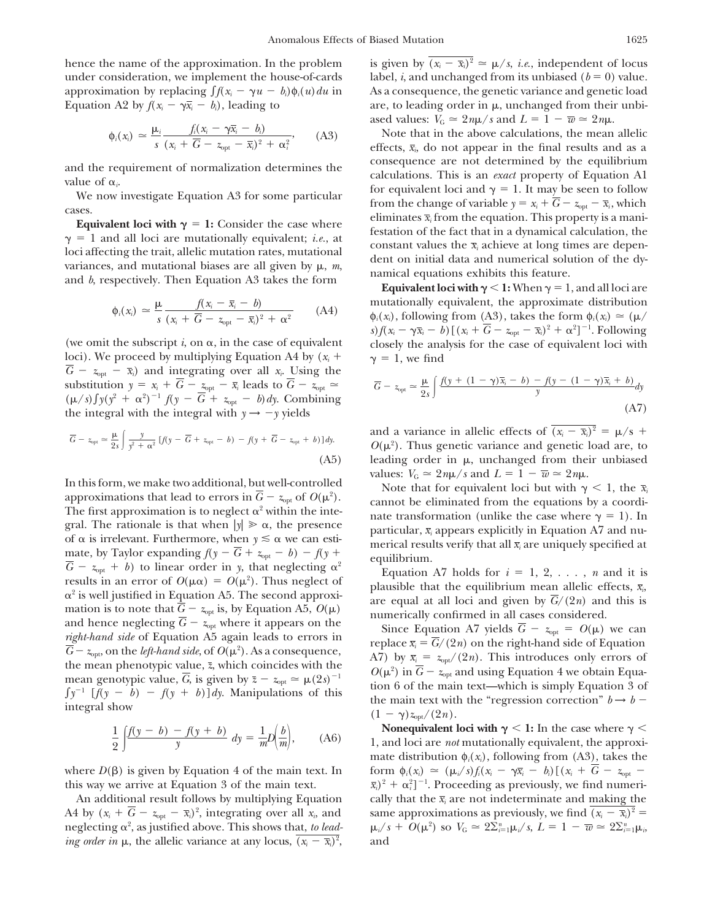under consideration, we implement the house-of-cards label, *i*, and unchanged from its unbiased ( $b = 0$ ) value. approximation by replacing  $\int f(x_i - \gamma u - b_i) \phi_i(u) du$  in As a consequence, the genetic variance and genetic load Equation A2 by  $f(x_i - \gamma \bar{x}_i - b_i)$ , leading to *are*, to leading order in  $\mu$ , unchanged from their unbi-

$$
\phi_i(x_i) \simeq \frac{\mu_i}{s} \frac{f_i(x_i - \gamma \overline{x}_i - b_i)}{(x_i + \overline{G} - z_{\text{opt}} - \overline{x}_i)^2 + \alpha_i^2}, \qquad (A3)
$$

$$
\phi_i(x_i) \simeq \frac{\mu}{s} \frac{f(x_i - \bar{x}_i - b)}{(x_i + \overline{G} - z_{\text{opt}} - \overline{x}_i)^2 + \alpha^2}
$$
 (A4)

loci). We proceed by multiplying Equation A4 by  $(x_i + \gamma = 1$ , we find  $\overline{G}$  –  $z_{opt}$  –  $\overline{x}_i$ ) and integrating over all  $x_i$ . Using the substitution  $y = x_i + \overline{G} - z_{opt} - \overline{x}_i$  leads to  $\overline{G} - z_{opt} \approx$  $(\mu/s) \int y(y^2 + \alpha^2)^{-1} f(y - \overline{G} + z_{opt} - b) dy$ . Combining the integral with the integral with  $y \to -y$  yields (A7)

$$
\overline{G} - z_{\text{opt}} \simeq \frac{\mu}{2s} \int \frac{y}{y^2 + \alpha^2} \left[ f(y - \overline{G} + z_{\text{opt}} - b) - f(y + \overline{G} - z_{\text{opt}} + b) \right] dy. \tag{A5}
$$

In this form, we make two additional, but well-controlled Note that for equivalent loci but with  $\gamma < 1$ , the  $\bar{x}_i$ approximations that lead to errors in  $\overline{G}$  –  $z_{opt}$  of  $O(\mu^2)$ . approximations that lead to errors in  $G - z_{opt}$  of  $O(\mu^2)$ .<br>
The first approximation is to neglect  $\alpha^2$  within the inte-<br>
gral. The rationale is that when  $|y| \gg \alpha$ , the presence<br>
of  $\alpha$  is irrelevant. Furthermore, whe results in an error of  $O(\mu \alpha) = O(\mu^2)$ . Thus neglect of results in an error of  $O(\mu\alpha) = O(\mu\beta)$ . Thus hegiect of<br>  $\alpha^2$  is well justified in Equation A5. The second approximation<br>
and hence neglecting  $\overline{G} - z_{opt}$  is, by Equation A5,  $O(\mu)$ <br>
and hence neglecting  $\overline{G} - z_{opt}$ 

$$
\frac{1}{2}\int \frac{f(y-b) - f(y+b)}{y} dy = \frac{1}{m}D\left(\frac{b}{m}\right), \quad (A6)
$$

where  $D(\beta)$  is given by Equation 4 of the main text. In *form*  $\phi_i(x_i) \approx (\mu_i/s) f_i(x_i - \gamma \overline{x}_i - b_i) [(x_i + \overline{G} - z_{opt} - b_i)^2]$ this way we arrive at Equation 3 of the main text.

A4 by  $(x_i + \overline{G} - z_{opt} - \overline{x}_i)^2$ , integrating over all  $x_i$ , and *ing order in*  $\mu$ , the allelic variance at any locus,  $(x_i - \bar{x}_i)^2$ ,

hence the name of the approximation. In the problem is given by  $\overline{(x_i - \overline{x}_i)^2} \approx \mu/s$ , *i.e.*, independent of locus ased values:  $V_G \approx 2n\mu/s$  and  $L = 1 - \overline{w} \approx 2n\mu$ .

Note that in the above calculations, the mean allelic effects,  $\bar{x}_i$ , do not appear in the final results and as a and the requirement of normalization determines the<br>value of  $\alpha_i$ <br>we now investigate Equation A3 for some particular<br>cases.<br>**Equivalent loci with**  $\gamma = 1$ **:** Consider the case where<br>**Equivalent loci with**  $\gamma = 1$ **:** Consider

mutationally equivalent, the approximate distribution  $\phi_i(x_i)$ , following from (A3), takes the form  $\phi_i(x_i) \approx (\mu/\mu)$  $s) f(x_i - \gamma \overline{x}_i - b)$  [ $(x_i + \overline{G} - z_{opt} - \overline{x}_i)^2 + \alpha^2$ ]<sup>-1</sup>. Following (we omit the subscript  $i$ , on  $\alpha$ , in the case of equivalent closely the analysis for the case of equivalent loci with

$$
\overline{G} - z_{\text{opt}} \simeq \frac{\mu}{2s} \int \frac{f(y + (1 - \gamma)\overline{x}_i - b) - f(y - (1 - \gamma)\overline{x}_i + b)}{y} dy
$$
\n(A7)

and a variance in allelic effects of  $\overline{(x_i - \overline{x}_i)^2} = \mu/s$  +  $O(\mu^2)$ . Thus genetic variance and genetic load are, to leading order in  $\mu$ , unchanged from their unbiased

Equation A7 holds for  $i = 1, 2, \ldots, n$  and it is

the mean phenotypic value,  $\bar{z}$ , which coincides with the  $O(\mu^2)$  in  $\bar{G} - z_{opt}$  and using Equation 4 we obtain Equamean genotypic value, *G*, is given by  $\overline{z} - z_{\text{opt}} \approx \mu(2s)^{-1}$  (b)  $\mu$  m  $\sigma$   $\infty$   $\mu$  and along Equation 4 we obtain Equa- $\int y^{-1} [\int (y - b) - f(y + b)] dy$ . Manipulations of this the main text with the "regression correction"  $b \rightarrow b$  -<br>integral show  $(1 - \gamma)z_{\text{opt}}/(2n)$ .

**Nonequivalent loci with**  $\gamma$  **< 1:** In the case where  $\gamma$  < 1, and loci are *not* mutationally equivalent, the approximate distribution  $\phi_i(x_i)$ , following from (A3), takes the  $^{2}_{i}$ ]<sup>-1</sup>. Proceeding as previously, we find numeri-An additional result follows by multiplying Equation cally that the  $\bar{x}$  are not indeterminate and making the same approximations as previously, we find  $(x_i - \bar{x}_i)^2$  =  $\mu_i/s + O(\mu^2)$  so  $V_G \approx 2\sum_{i=1}^n \mu_i/s$ ,  $L = 1 - \overline{w} \approx 2\sum_{i=1}^n v_i$ neglecting  $\alpha^2$ , as justified above. This shows that, *to lead-*  $\mu_i/s + O(\mu^2)$  so  $V_G \simeq 2\Sigma_{i=1}^n \mu_i/s$ ,  $L = 1 - \overline{w} \simeq 2\Sigma_{i=1}^n \mu_i$ , and